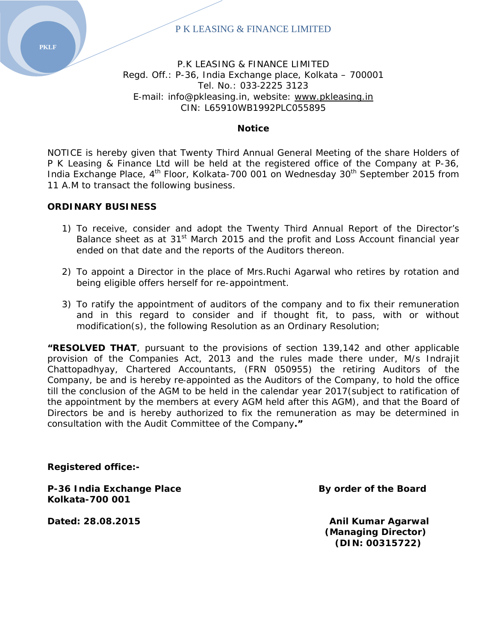## P.K LEASING & FINANCE LIMITED Regd. Off.: P-36, India Exchange place, Kolkata – 700001 Tel. No.: 033‐2225 3123 E-mail: info@pkleasing.in, website: www.pkleasing.in CIN: L65910WB1992PLC055895

#### **Notice**

NOTICE is hereby given that Twenty Third Annual General Meeting of the share Holders of P K Leasing & Finance Ltd will be held at the registered office of the Company at P-36, India Exchange Place,  $4<sup>th</sup>$  Floor, Kolkata-700 001 on Wednesday 30<sup>th</sup> September 2015 from 11 A.M to transact the following business.

#### **ORDINARY BUSINESS**

- 1) To receive, consider and adopt the Twenty Third Annual Report of the Director's Balance sheet as at 31<sup>st</sup> March 2015 and the profit and Loss Account financial year ended on that date and the reports of the Auditors thereon.
- 2) To appoint a Director in the place of Mrs.Ruchi Agarwal who retires by rotation and being eligible offers herself for re-appointment.
- 3) To ratify the appointment of auditors of the company and to fix their remuneration and in this regard to consider and if thought fit, to pass, with or without modification(s), the following Resolution as an Ordinary Resolution;

**"RESOLVED THAT**, pursuant to the provisions of section 139,142 and other applicable provision of the Companies Act, 2013 and the rules made there under, M/s Indrajit Chattopadhyay, Chartered Accountants, (FRN 050955) the retiring Auditors of the Company, be and is hereby re‐appointed as the Auditors of the Company, to hold the office till the conclusion of the AGM to be held in the calendar year 2017(subject to ratification of the appointment by the members at every AGM held after this AGM), and that the Board of Directors be and is hereby authorized to fix the remuneration as may be determined in consultation with the Audit Committee of the Company**."**

**Registered office:-** 

P-36 India Exchange Place **By order of the Board Kolkata-700 001** 

**Dated: 28.08.2015 CONSERVING Anil Kumar Agarwal** 

 **(Managing Director) (DIN: 00315722)** 

**PKLF**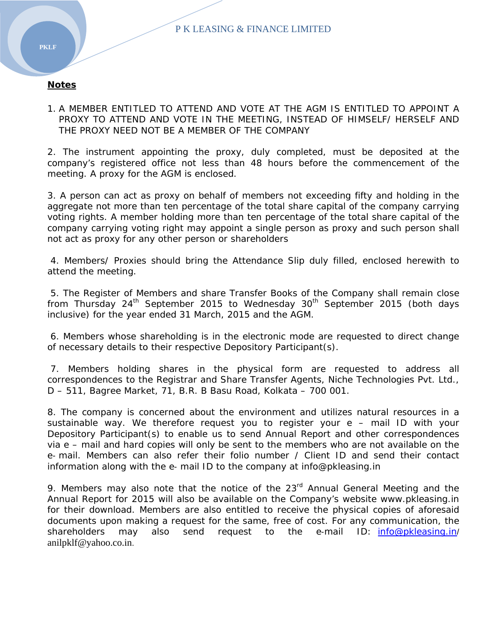### **Notes**

1. A MEMBER ENTITLED TO ATTEND AND VOTE AT THE AGM IS ENTITLED TO APPOINT A PROXY TO ATTEND AND VOTE IN THE MEETING, INSTEAD OF HIMSELF/ HERSELF AND THE PROXY NEED NOT BE A MEMBER OF THE COMPANY

2. The instrument appointing the proxy, duly completed, must be deposited at the company's registered office not less than 48 hours before the commencement of the meeting. A proxy for the AGM is enclosed.

3. A person can act as proxy on behalf of members not exceeding fifty and holding in the aggregate not more than ten percentage of the total share capital of the company carrying voting rights. A member holding more than ten percentage of the total share capital of the company carrying voting right may appoint a single person as proxy and such person shall not act as proxy for any other person or shareholders

 4. Members/ Proxies should bring the Attendance Slip duly filled, enclosed herewith to attend the meeting.

 5. The Register of Members and share Transfer Books of the Company shall remain close from Thursday  $24^{th}$  September 2015 to Wednesday  $30^{th}$  September 2015 (both days inclusive) for the year ended 31 March, 2015 and the AGM.

 6. Members whose shareholding is in the electronic mode are requested to direct change of necessary details to their respective Depository Participant(s).

 7. Members holding shares in the physical form are requested to address all correspondences to the Registrar and Share Transfer Agents, Niche Technologies Pvt. Ltd., D – 511, Bagree Market, 71, B.R. B Basu Road, Kolkata – 700 001.

8. The company is concerned about the environment and utilizes natural resources in a sustainable way. We therefore request you to register your e – mail ID with your Depository Participant(s) to enable us to send Annual Report and other correspondences via e – mail and hard copies will only be sent to the members who are not available on the e‐ mail. Members can also refer their folio number / Client ID and send their contact information along with the e‐ mail ID to the company at info@pkleasing.in

9. Members may also note that the notice of the 23<sup>rd</sup> Annual General Meeting and the Annual Report for 2015 will also be available on the Company's website www.pkleasing.in for their download. Members are also entitled to receive the physical copies of aforesaid documents upon making a request for the same, free of cost. For any communication, the shareholders may also send request to the e-mail ID: info@pkleasing.in/ anilpklf@yahoo.co.in.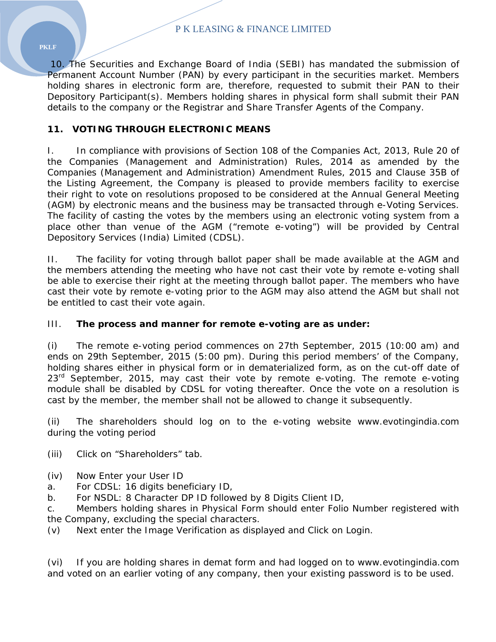10. The Securities and Exchange Board of India (SEBI) has mandated the submission of Permanent Account Number (PAN) by every participant in the securities market. Members holding shares in electronic form are, therefore, requested to submit their PAN to their Depository Participant(s). Members holding shares in physical form shall submit their PAN details to the company or the Registrar and Share Transfer Agents of the Company.

# **11. VOTING THROUGH ELECTRONIC MEANS**

I. In compliance with provisions of Section 108 of the Companies Act, 2013, Rule 20 of the Companies (Management and Administration) Rules, 2014 as amended by the Companies (Management and Administration) Amendment Rules, 2015 and Clause 35B of the Listing Agreement, the Company is pleased to provide members facility to exercise their right to vote on resolutions proposed to be considered at the Annual General Meeting (AGM) by electronic means and the business may be transacted through e-Voting Services. The facility of casting the votes by the members using an electronic voting system from a place other than venue of the AGM ("remote e-voting") will be provided by Central Depository Services (India) Limited (CDSL).

II. The facility for voting through ballot paper shall be made available at the AGM and the members attending the meeting who have not cast their vote by remote e-voting shall be able to exercise their right at the meeting through ballot paper. The members who have cast their vote by remote e-voting prior to the AGM may also attend the AGM but shall not be entitled to cast their vote again.

## III. **The process and manner for remote e-voting are as under:**

(i) The remote e-voting period commences on 27th September, 2015 (10:00 am) and ends on 29th September, 2015 (5:00 pm). During this period members' of the Company, holding shares either in physical form or in dematerialized form, as on the cut-off date of  $23<sup>rd</sup>$  September, 2015, may cast their vote by remote e-voting. The remote e-voting module shall be disabled by CDSL for voting thereafter. Once the vote on a resolution is cast by the member, the member shall not be allowed to change it subsequently.

(ii) The shareholders should log on to the e-voting website www.evotingindia.com during the voting period

- (iii) Click on "Shareholders" tab.
- (iv) Now Enter your User ID
- a. For CDSL: 16 digits beneficiary ID,
- b. For NSDL: 8 Character DP ID followed by 8 Digits Client ID,

c. Members holding shares in Physical Form should enter Folio Number registered with the Company, excluding the special characters.

(v) Next enter the Image Verification as displayed and Click on Login.

(vi) If you are holding shares in demat form and had logged on to www.evotingindia.com and voted on an earlier voting of any company, then your existing password is to be used.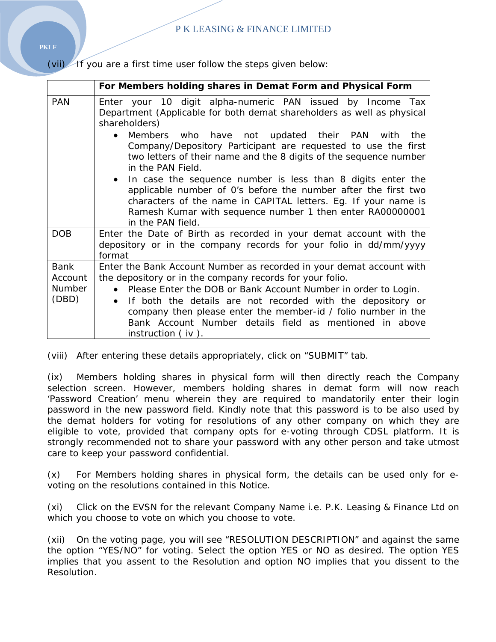(vii) If you are a first time user follow the steps given below:

|                                                  | For Members holding shares in Demat Form and Physical Form                                                                                                                                                                                                                                                                                                                                                                                                                                                                                                                                                                                                                 |
|--------------------------------------------------|----------------------------------------------------------------------------------------------------------------------------------------------------------------------------------------------------------------------------------------------------------------------------------------------------------------------------------------------------------------------------------------------------------------------------------------------------------------------------------------------------------------------------------------------------------------------------------------------------------------------------------------------------------------------------|
| <b>PAN</b>                                       | Enter your 10 digit alpha-numeric PAN issued by Income Tax<br>Department (Applicable for both demat shareholders as well as physical<br>shareholders)<br>Members who have not updated their PAN with<br>the<br>$\bullet$<br>Company/Depository Participant are requested to use the first<br>two letters of their name and the 8 digits of the sequence number<br>in the PAN Field.<br>• In case the sequence number is less than 8 digits enter the<br>applicable number of O's before the number after the first two<br>characters of the name in CAPITAL letters. Eg. If your name is<br>Ramesh Kumar with sequence number 1 then enter RA00000001<br>in the PAN field. |
| DOB                                              | Enter the Date of Birth as recorded in your demat account with the<br>depository or in the company records for your folio in dd/mm/yyyy<br>format                                                                                                                                                                                                                                                                                                                                                                                                                                                                                                                          |
| <b>Bank</b><br>Account<br><b>Number</b><br>(DBD) | Enter the Bank Account Number as recorded in your demat account with<br>the depository or in the company records for your folio.<br>Please Enter the DOB or Bank Account Number in order to Login.<br>$\bullet$<br>If both the details are not recorded with the depository or<br>$\bullet$<br>company then please enter the member-id / folio number in the<br>Bank Account Number details field as mentioned in above<br>instruction $($ iv $).$                                                                                                                                                                                                                         |

(viii) After entering these details appropriately, click on "SUBMIT" tab.

(ix) Members holding shares in physical form will then directly reach the Company selection screen. However, members holding shares in demat form will now reach 'Password Creation' menu wherein they are required to mandatorily enter their login password in the new password field. Kindly note that this password is to be also used by the demat holders for voting for resolutions of any other company on which they are eligible to vote, provided that company opts for e-voting through CDSL platform. It is strongly recommended not to share your password with any other person and take utmost care to keep your password confidential.

(x) For Members holding shares in physical form, the details can be used only for evoting on the resolutions contained in this Notice.

(xi) Click on the EVSN for the relevant Company Name i.e. P.K. Leasing & Finance Ltd on which you choose to vote on which you choose to vote.

(xii) On the voting page, you will see "RESOLUTION DESCRIPTION" and against the same the option "YES/NO" for voting. Select the option YES or NO as desired. The option YES implies that you assent to the Resolution and option NO implies that you dissent to the Resolution.

**PKLF**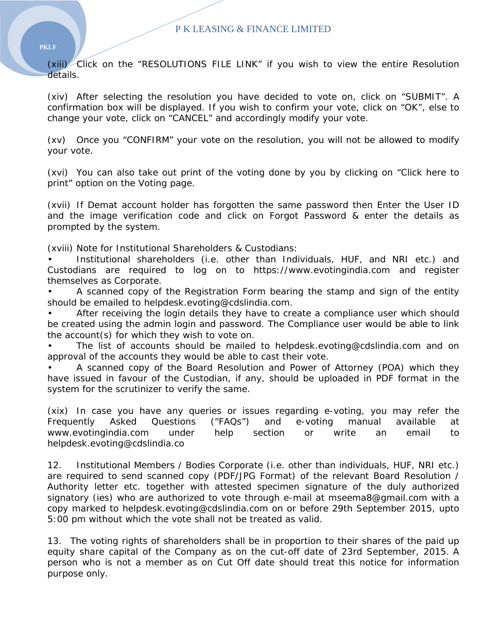(xiii) Click on the "RESOLUTIONS FILE LINK" if you wish to view the entire Resolution details.

(xiv) After selecting the resolution you have decided to vote on, click on "SUBMIT". A confirmation box will be displayed. If you wish to confirm your vote, click on "OK", else to change your vote, click on "CANCEL" and accordingly modify your vote.

(xv) Once you "CONFIRM" your vote on the resolution, you will not be allowed to modify your vote.

(xvi) You can also take out print of the voting done by you by clicking on "Click here to print" option on the Voting page.

(xvii) If Demat account holder has forgotten the same password then Enter the User ID and the image verification code and click on Forgot Password & enter the details as prompted by the system.

(xviii) Note for Institutional Shareholders & Custodians:

• Institutional shareholders (i.e. other than Individuals, HUF, and NRI etc.) and Custodians are required to log on to https://www.evotingindia.com and register themselves as Corporate.

• A scanned copy of the Registration Form bearing the stamp and sign of the entity should be emailed to helpdesk.evoting@cdslindia.com.

After receiving the login details they have to create a compliance user which should be created using the admin login and password. The Compliance user would be able to link the account(s) for which they wish to vote on.

• The list of accounts should be mailed to helpdesk.evoting@cdslindia.com and on approval of the accounts they would be able to cast their vote.

• A scanned copy of the Board Resolution and Power of Attorney (POA) which they have issued in favour of the Custodian, if any, should be uploaded in PDF format in the system for the scrutinizer to verify the same.

(xix) In case you have any queries or issues regarding e-voting, you may refer the Frequently Asked Questions ("FAQs") and e-voting manual available at www.evotingindia.com under help section or write an email to helpdesk.evoting@cdslindia.co

12. Institutional Members / Bodies Corporate (i.e. other than individuals, HUF, NRI etc.) are required to send scanned copy (PDF/JPG Format) of the relevant Board Resolution / Authority letter etc. together with attested specimen signature of the duly authorized signatory (ies) who are authorized to vote through e-mail at mseema8@gmail.com with a copy marked to helpdesk.evoting@cdslindia.com on or before 29th September 2015, upto 5:00 pm without which the vote shall not be treated as valid.

13. The voting rights of shareholders shall be in proportion to their shares of the paid up equity share capital of the Company as on the cut-off date of 23rd September, 2015. A person who is not a member as on Cut Off date should treat this notice for information purpose only.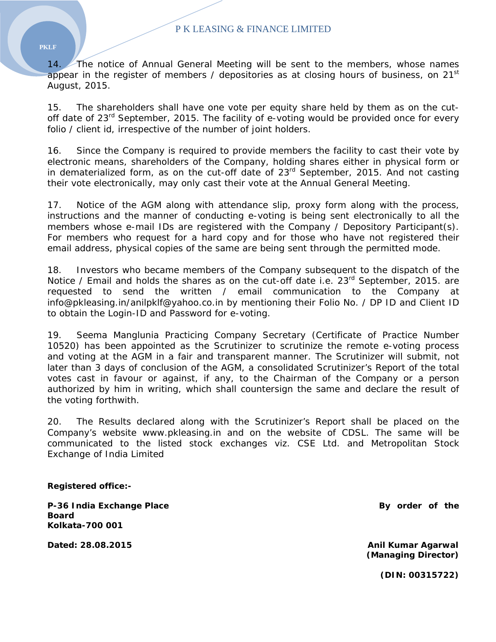14. The notice of Annual General Meeting will be sent to the members, whose names appear in the register of members / depositories as at closing hours of business, on  $21^{st}$ August, 2015.

15. The shareholders shall have one vote per equity share held by them as on the cutoff date of  $23^{rd}$  September, 2015. The facility of e-voting would be provided once for every folio / client id, irrespective of the number of joint holders.

16. Since the Company is required to provide members the facility to cast their vote by electronic means, shareholders of the Company, holding shares either in physical form or in dematerialized form, as on the cut-off date of  $23<sup>rd</sup>$  September, 2015. And not casting their vote electronically, may only cast their vote at the Annual General Meeting.

17. Notice of the AGM along with attendance slip, proxy form along with the process, instructions and the manner of conducting e-voting is being sent electronically to all the members whose e-mail IDs are registered with the Company / Depository Participant(s). For members who request for a hard copy and for those who have not registered their email address, physical copies of the same are being sent through the permitted mode.

18. Investors who became members of the Company subsequent to the dispatch of the Notice / Email and holds the shares as on the cut-off date i.e.  $23^{rd}$  September, 2015. are requested to send the written / email communication to the Company at info@pkleasing.in/anilpklf@yahoo.co.in by mentioning their Folio No. / DP ID and Client ID to obtain the Login-ID and Password for e-voting.

19. Seema Manglunia Practicing Company Secretary (Certificate of Practice Number 10520) has been appointed as the Scrutinizer to scrutinize the remote e-voting process and voting at the AGM in a fair and transparent manner. The Scrutinizer will submit, not later than 3 days of conclusion of the AGM, a consolidated Scrutinizer's Report of the total votes cast in favour or against, if any, to the Chairman of the Company or a person authorized by him in writing, which shall countersign the same and declare the result of the voting forthwith.

20. The Results declared along with the Scrutinizer's Report shall be placed on the Company's website www.pkleasing.in and on the website of CDSL. The same will be communicated to the listed stock exchanges viz. CSE Ltd. and Metropolitan Stock Exchange of India Limited

**Registered office:-** 

P-36 India Exchange Place **By order of the set of the set of the set of the set of the set of the set of the set of the set of the set of the set of the set of the set of the set of the set of the set of the set of the set Board Kolkata-700 001** 

**Dated: 28.08.2015 Anil Kumar Agarwal (Managing Director)** 

**(DIN: 00315722)** 

#### **PKLF**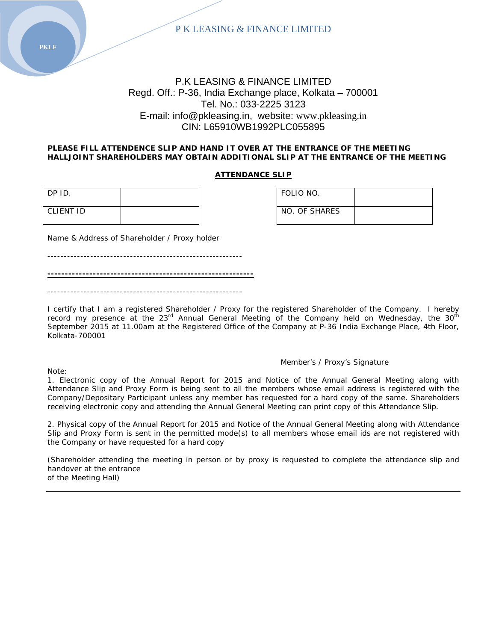

## P.K LEASING & FINANCE LIMITED Regd. Off.: P-36, India Exchange place, Kolkata – 700001 Tel. No.: 033‐2225 3123 E‐mail: info@pkleasing.in, website: www.pkleasing.in CIN: L65910WB1992PLC055895

#### **PLEASE FILL ATTENDENCE SLIP AND HAND IT OVER AT THE ENTRANCE OF THE MEETING HALLJOINT SHAREHOLDERS MAY OBTAIN ADDITIONAL SLIP AT THE ENTRANCE OF THE MEETING**

#### **ATTENDANCE SLIP**

| DP ID.    |  | FOLIO NO.     |
|-----------|--|---------------|
| CLIENT ID |  | NO. OF SHARES |

| FOLIO NO.     |  |
|---------------|--|
| NO. OF SHARES |  |

Name & Address of Shareholder / Proxy holder

 $-$ 

**-----------------------------------------------------------**

-----------------------------------------------------------

I certify that I am a registered Shareholder / Proxy for the registered Shareholder of the Company. I hereby record my presence at the  $23<sup>rd</sup>$  Annual General Meeting of the Company held on Wednesday, the  $30<sup>th</sup>$ September 2015 at 11.00am at the Registered Office of the Company at P-36 India Exchange Place, 4th Floor, Kolkata-700001

Member's / Proxy's Signature

Note:

1. Electronic copy of the Annual Report for 2015 and Notice of the Annual General Meeting along with Attendance Slip and Proxy Form is being sent to all the members whose email address is registered with the

Company/Depositary Participant unless any member has requested for a hard copy of the same. Shareholders receiving electronic copy and attending the Annual General Meeting can print copy of this Attendance Slip.

2. Physical copy of the Annual Report for 2015 and Notice of the Annual General Meeting along with Attendance Slip and Proxy Form is sent in the permitted mode(s) to all members whose email ids are not registered with the Company or have requested for a hard copy

(Shareholder attending the meeting in person or by proxy is requested to complete the attendance slip and handover at the entrance of the Meeting Hall)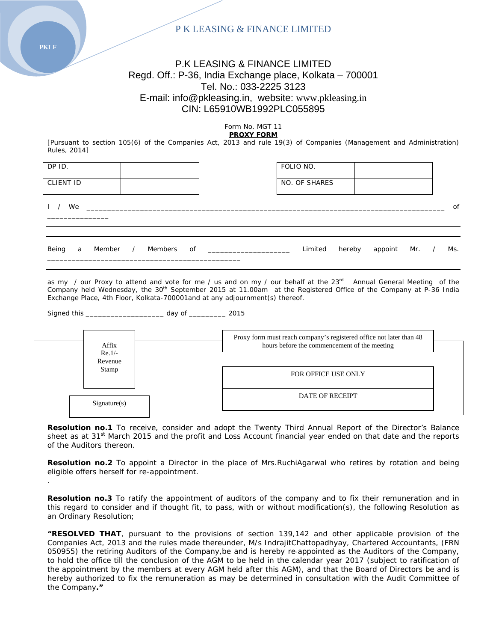## P.K LEASING & FINANCE LIMITED Regd. Off.: P-36, India Exchange place, Kolkata – 700001 Tel. No.: 033‐2225 3123 E‐mail: info@pkleasing.in, website: www.pkleasing.in CIN: L65910WB1992PLC055895

Form No. MGT 11 **PROXY FORM**

[Pursuant to section 105(6) of the Companies Act, 2013 and rule 19(3) of Companies (Management and Administration) Rules, 2014]

| DP ID.<br><b>CLIENT ID</b>      |    |  |                                                                                                                    |  | FOLIO NO.<br>NO. OF SHARES |                      |  |     |
|---------------------------------|----|--|--------------------------------------------------------------------------------------------------------------------|--|----------------------------|----------------------|--|-----|
| $\begin{array}{cc} \end{array}$ | We |  | <u> 1980 - Jan Stein Harry Harry Harry Harry Harry Harry Harry Harry Harry Harry Harry Harry Harry Harry Harry</u> |  |                            |                      |  | 0f  |
| Being                           | a  |  |                                                                                                                    |  | Limited                    | hereby appoint Mr. / |  | Ms. |

as my / our Proxy to attend and vote for me / us and on my / our behalf at the 23<sup>rd</sup> Annual General Meeting of the Company held Wednesday, the 30<sup>th</sup> September 2015 at 11.00am at the Registered Office of the Company at P-36 India Exchange Place, 4th Floor, Kolkata-700001and at any adjournment(s) thereof.

| Signed this<br>dav of |  |
|-----------------------|--|
|-----------------------|--|

| Affix<br>$Re.1/-$ | Proxy form must reach company's registered office not later than 48<br>hours before the commencement of the meeting |
|-------------------|---------------------------------------------------------------------------------------------------------------------|
| Revenue<br>Stamp  | <b>FOR OFFICE USE ONLY</b>                                                                                          |
| Signature(s)      | <b>DATE OF RECEIPT</b>                                                                                              |

Resolution no.1 To receive, consider and adopt the Twenty Third Annual Report of the Director's Balance sheet as at 31<sup>st</sup> March 2015 and the profit and Loss Account financial year ended on that date and the reports of the Auditors thereon.

**Resolution no.2** To appoint a Director in the place of Mrs.RuchiAgarwal who retires by rotation and being eligible offers herself for re-appointment.

**Resolution no.3** To ratify the appointment of auditors of the company and to fix their remuneration and in this regard to consider and if thought fit, to pass, with or without modification(s), the following Resolution as an Ordinary Resolution;

**"RESOLVED THAT**, pursuant to the provisions of section 139,142 and other applicable provision of the Companies Act, 2013 and the rules made thereunder, M/s IndrajitChattopadhyay, Chartered Accountants, (FRN 050955) the retiring Auditors of the Company,be and is hereby re‐appointed as the Auditors of the Company, to hold the office till the conclusion of the AGM to be held in the calendar year 2017 (subject to ratification of the appointment by the members at every AGM held after this AGM), and that the Board of Directors be and is hereby authorized to fix the remuneration as may be determined in consultation with the Audit Committee of the Company**."**

**PKLF** 

.